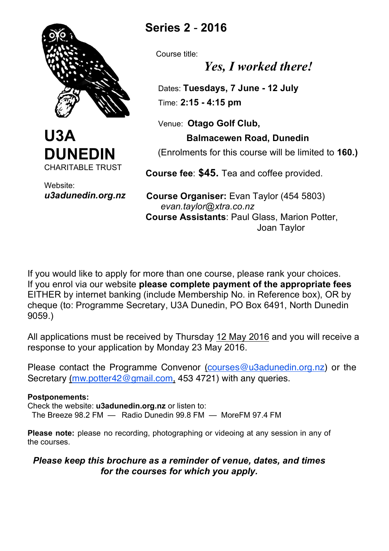



Website: *u3adunedin.org.nz*

# **Series 2** - **2016**

Course title:

*Yes, I worked there!*

 Dates: **Tuesdays, 7 June - 12 July** Time: **2:15 - 4:15 pm**

Venue: **Otago Golf Club,** 

## **Balmacewen Road, Dunedin**

(Enrolments for this course will be limited to **160.)**

 **Course fee**: **\$45.** Tea and coffee provided.

 **Course Organiser:** Evan Taylor (454 5803) *evan.taylor@xtra.co.nz*  **Course Assistants**: Paul Glass, Marion Potter, Joan Taylor

If you would like to apply for more than one course, please rank your choices. If you enrol via our website **please complete payment of the appropriate fees** EITHER by internet banking (include Membership No. in Reference box), OR by cheque (to: Programme Secretary, U3A Dunedin, PO Box 6491, North Dunedin 9059.)

All applications must be received by Thursday 12 May 2016 and you will receive a response to your application by Monday 23 May 2016.

Please contact the Programme Convenor (courses@u3adunedin.org.nz) or the Secretary (mw.potter42@gmail.com, 453 4721) with any queries.

#### **Postponements:**

Check the website: **u3adunedin.org.nz** or listen to: The Breeze 98.2 FM — Radio Dunedin 99.8 FM — MoreFM 97.4 FM

**Please note:** please no recording, photographing or videoing at any session in any of the courses.

## *Please keep this brochure as a reminder of venue, dates, and times for the courses for which you apply.*